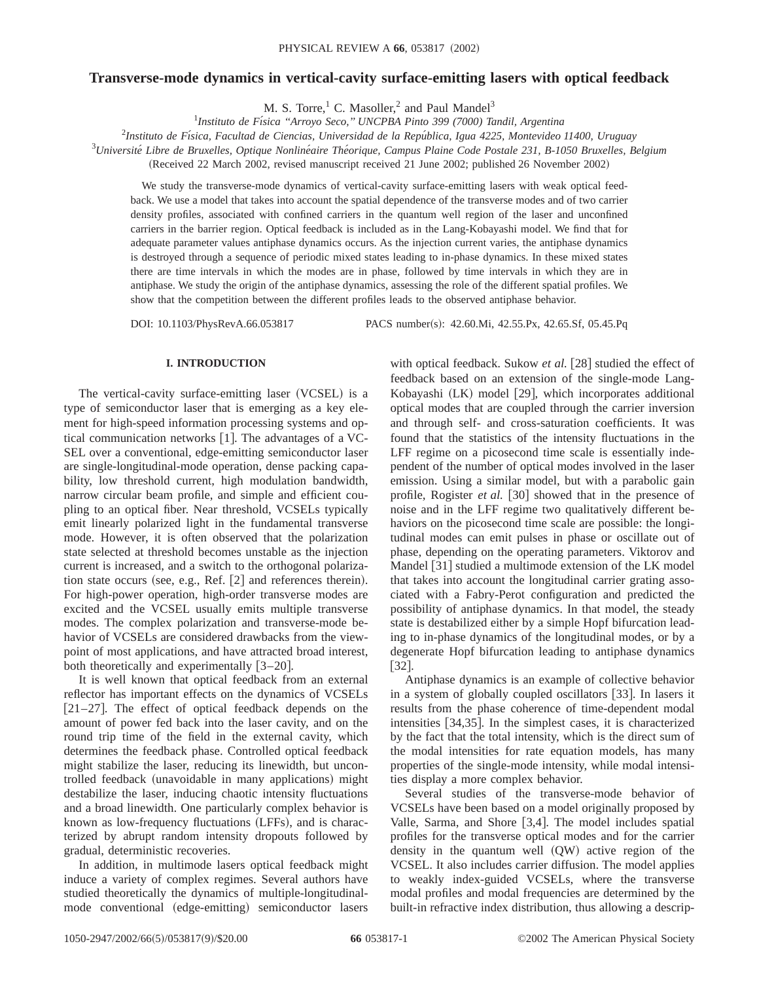# **Transverse-mode dynamics in vertical-cavity surface-emitting lasers with optical feedback**

M. S. Torre,<sup>1</sup> C. Masoller,<sup>2</sup> and Paul Mandel<sup>3</sup>

1 *Instituto de Fı´sica ''Arroyo Seco,'' UNCPBA Pinto 399 (7000) Tandil, Argentina*

2 *Instituto de Fı´sica, Facultad de Ciencias, Universidad de la Repu´blica, Igua 4225, Montevideo 11400, Uruguay*

<sup>3</sup> Université Libre de Bruxelles, Optique Nonlinéaire Théorique, Campus Plaine Code Postale 231, B-1050 Bruxelles, Belgium

(Received 22 March 2002, revised manuscript received 21 June 2002; published 26 November 2002)

We study the transverse-mode dynamics of vertical-cavity surface-emitting lasers with weak optical feedback. We use a model that takes into account the spatial dependence of the transverse modes and of two carrier density profiles, associated with confined carriers in the quantum well region of the laser and unconfined carriers in the barrier region. Optical feedback is included as in the Lang-Kobayashi model. We find that for adequate parameter values antiphase dynamics occurs. As the injection current varies, the antiphase dynamics is destroyed through a sequence of periodic mixed states leading to in-phase dynamics. In these mixed states there are time intervals in which the modes are in phase, followed by time intervals in which they are in antiphase. We study the origin of the antiphase dynamics, assessing the role of the different spatial profiles. We show that the competition between the different profiles leads to the observed antiphase behavior.

DOI: 10.1103/PhysRevA.66.053817 PACS number(s): 42.60.Mi, 42.55.Px, 42.65.Sf, 05.45.Pq

# **I. INTRODUCTION**

The vertical-cavity surface-emitting laser (VCSEL) is a type of semiconductor laser that is emerging as a key element for high-speed information processing systems and optical communication networks  $[1]$ . The advantages of a VC-SEL over a conventional, edge-emitting semiconductor laser are single-longitudinal-mode operation, dense packing capability, low threshold current, high modulation bandwidth, narrow circular beam profile, and simple and efficient coupling to an optical fiber. Near threshold, VCSELs typically emit linearly polarized light in the fundamental transverse mode. However, it is often observed that the polarization state selected at threshold becomes unstable as the injection current is increased, and a switch to the orthogonal polarization state occurs (see, e.g., Ref.  $[2]$  and references therein). For high-power operation, high-order transverse modes are excited and the VCSEL usually emits multiple transverse modes. The complex polarization and transverse-mode behavior of VCSELs are considered drawbacks from the viewpoint of most applications, and have attracted broad interest, both theoretically and experimentally  $[3-20]$ .

It is well known that optical feedback from an external reflector has important effects on the dynamics of VCSELs  $[21–27]$ . The effect of optical feedback depends on the amount of power fed back into the laser cavity, and on the round trip time of the field in the external cavity, which determines the feedback phase. Controlled optical feedback might stabilize the laser, reducing its linewidth, but uncontrolled feedback (unavoidable in many applications) might destabilize the laser, inducing chaotic intensity fluctuations and a broad linewidth. One particularly complex behavior is known as low-frequency fluctuations (LFFs), and is characterized by abrupt random intensity dropouts followed by gradual, deterministic recoveries.

In addition, in multimode lasers optical feedback might induce a variety of complex regimes. Several authors have studied theoretically the dynamics of multiple-longitudinalmode conventional (edge-emitting) semiconductor lasers

with optical feedback. Sukow *et al.* [28] studied the effect of feedback based on an extension of the single-mode Lang-Kobayashi  $(LK)$  model  $[29]$ , which incorporates additional optical modes that are coupled through the carrier inversion and through self- and cross-saturation coefficients. It was found that the statistics of the intensity fluctuations in the LFF regime on a picosecond time scale is essentially independent of the number of optical modes involved in the laser emission. Using a similar model, but with a parabolic gain profile, Rogister *et al.* [30] showed that in the presence of noise and in the LFF regime two qualitatively different behaviors on the picosecond time scale are possible: the longitudinal modes can emit pulses in phase or oscillate out of phase, depending on the operating parameters. Viktorov and Mandel [31] studied a multimode extension of the LK model that takes into account the longitudinal carrier grating associated with a Fabry-Perot configuration and predicted the possibility of antiphase dynamics. In that model, the steady state is destabilized either by a simple Hopf bifurcation leading to in-phase dynamics of the longitudinal modes, or by a degenerate Hopf bifurcation leading to antiphase dynamics  $[32]$ .

Antiphase dynamics is an example of collective behavior in a system of globally coupled oscillators [33]. In lasers it results from the phase coherence of time-dependent modal intensities  $[34,35]$ . In the simplest cases, it is characterized by the fact that the total intensity, which is the direct sum of the modal intensities for rate equation models, has many properties of the single-mode intensity, while modal intensities display a more complex behavior.

Several studies of the transverse-mode behavior of VCSELs have been based on a model originally proposed by Valle, Sarma, and Shore  $[3,4]$ . The model includes spatial profiles for the transverse optical modes and for the carrier density in the quantum well  $(QW)$  active region of the VCSEL. It also includes carrier diffusion. The model applies to weakly index-guided VCSELs, where the transverse modal profiles and modal frequencies are determined by the built-in refractive index distribution, thus allowing a descrip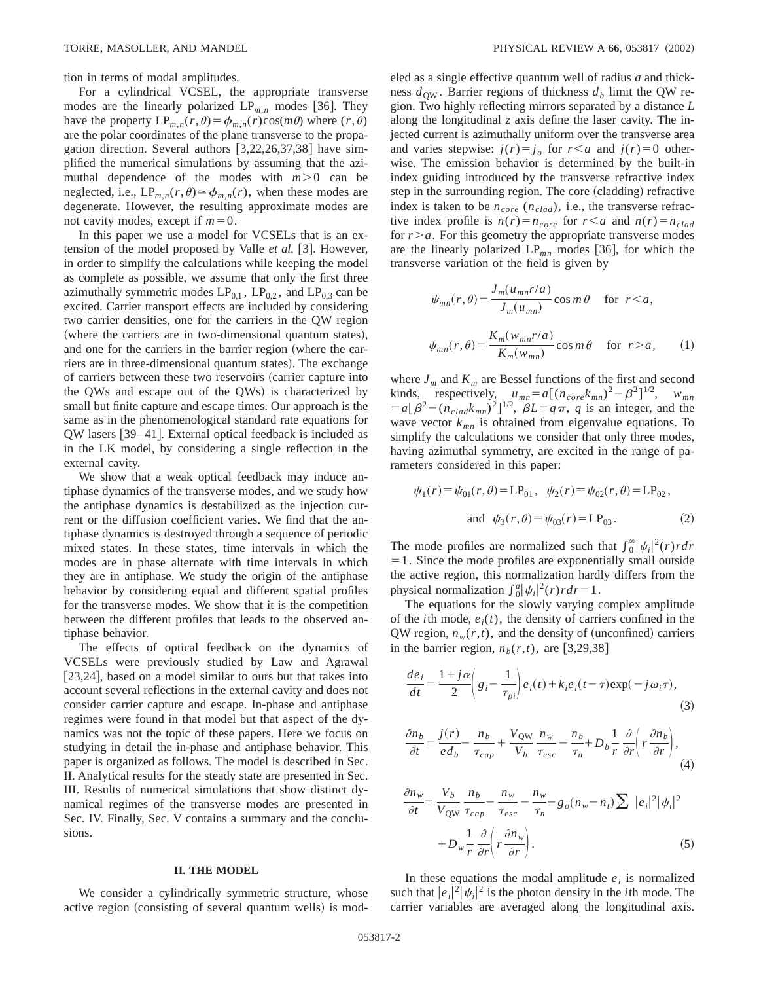tion in terms of modal amplitudes.

For a cylindrical VCSEL, the appropriate transverse modes are the linearly polarized  $LP_{m,n}$  modes [36]. They have the property  $LP_{m,n}(r,\theta) = \phi_{m,n}(r)\cos(m\theta)$  where  $(r,\theta)$ are the polar coordinates of the plane transverse to the propagation direction. Several authors  $[3,22,26,37,38]$  have simplified the numerical simulations by assuming that the azimuthal dependence of the modes with  $m > 0$  can be neglected, i.e.,  $LP_{m,n}(r,\theta) \approx \phi_{m,n}(r)$ , when these modes are degenerate. However, the resulting approximate modes are not cavity modes, except if  $m=0$ .

In this paper we use a model for VCSELs that is an extension of the model proposed by Valle *et al.* [3]. However, in order to simplify the calculations while keeping the model as complete as possible, we assume that only the first three azimuthally symmetric modes  $LP_{0,1}$ ,  $LP_{0,2}$ , and  $LP_{0,3}$  can be excited. Carrier transport effects are included by considering two carrier densities, one for the carriers in the QW region (where the carriers are in two-dimensional quantum states), and one for the carriers in the barrier region (where the carriers are in three-dimensional quantum states). The exchange of carriers between these two reservoirs (carrier capture into the QWs and escape out of the QWs) is characterized by small but finite capture and escape times. Our approach is the same as in the phenomenological standard rate equations for QW lasers [39–41]. External optical feedback is included as in the LK model, by considering a single reflection in the external cavity.

We show that a weak optical feedback may induce antiphase dynamics of the transverse modes, and we study how the antiphase dynamics is destabilized as the injection current or the diffusion coefficient varies. We find that the antiphase dynamics is destroyed through a sequence of periodic mixed states. In these states, time intervals in which the modes are in phase alternate with time intervals in which they are in antiphase. We study the origin of the antiphase behavior by considering equal and different spatial profiles for the transverse modes. We show that it is the competition between the different profiles that leads to the observed antiphase behavior.

The effects of optical feedback on the dynamics of VCSELs were previously studied by Law and Agrawal  $[23,24]$ , based on a model similar to ours but that takes into account several reflections in the external cavity and does not consider carrier capture and escape. In-phase and antiphase regimes were found in that model but that aspect of the dynamics was not the topic of these papers. Here we focus on studying in detail the in-phase and antiphase behavior. This paper is organized as follows. The model is described in Sec. II. Analytical results for the steady state are presented in Sec. III. Results of numerical simulations that show distinct dynamical regimes of the transverse modes are presented in Sec. IV. Finally, Sec. V contains a summary and the conclusions.

#### **II. THE MODEL**

We consider a cylindrically symmetric structure, whose active region (consisting of several quantum wells) is modeled as a single effective quantum well of radius *a* and thickness  $d_{\text{QW}}$ . Barrier regions of thickness  $d_b$  limit the QW region. Two highly reflecting mirrors separated by a distance *L* along the longitudinal *z* axis define the laser cavity. The injected current is azimuthally uniform over the transverse area and varies stepwise:  $j(r) = j_o$  for  $r < a$  and  $j(r) = 0$  otherwise. The emission behavior is determined by the built-in index guiding introduced by the transverse refractive index step in the surrounding region. The core (cladding) refractive index is taken to be  $n_{core}$  ( $n_{clad}$ ), i.e., the transverse refractive index profile is  $n(r) = n_{core}$  for  $r < a$  and  $n(r) = n_{clad}$ for  $r > a$ . For this geometry the appropriate transverse modes are the linearly polarized  $LP_{mn}$  modes [36], for which the transverse variation of the field is given by

$$
\psi_{mn}(r,\theta) = \frac{J_m(u_{mn}r/a)}{J_m(u_{mn})} \cos m\theta \quad \text{for } r < a,
$$
  

$$
\psi_{mn}(r,\theta) = \frac{K_m(w_{mn}r/a)}{K_m(w_{mn})} \cos m\theta \quad \text{for } r > a,
$$
 (1)

where  $J_m$  and  $K_m$  are Bessel functions of the first and second kinds, respectively,  $u_{mn} = a[(n_{core}k_{mn})^2 - \beta^2]^{1/2}$ ,  $w_{mn}$  $=a[\beta^2-(n_{clad}k_{mn})^2]^{1/2}$ ,  $\beta L=q\pi$ , *q* is an integer, and the wave vector  $k_{mn}$  is obtained from eigenvalue equations. To simplify the calculations we consider that only three modes, having azimuthal symmetry, are excited in the range of parameters considered in this paper:

$$
\psi_1(r) \equiv \psi_{01}(r,\theta) = \text{LP}_{01}, \quad \psi_2(r) \equiv \psi_{02}(r,\theta) = \text{LP}_{02},
$$
  
and 
$$
\psi_3(r,\theta) \equiv \psi_{03}(r) = \text{LP}_{03}.
$$
 (2)

The mode profiles are normalized such that  $\int_0^{\infty} |\psi_i|^2(r) r dr$  $=1$ . Since the mode profiles are exponentially small outside the active region, this normalization hardly differs from the physical normalization  $\int_0^a |\psi_i|^2(r) r dr = 1$ .

The equations for the slowly varying complex amplitude of the *i*th mode,  $e_i(t)$ , the density of carriers confined in the QW region,  $n_w(r,t)$ , and the density of (unconfined) carriers in the barrier region,  $n_b(r,t)$ , are [3,29,38]

$$
\frac{de_i}{dt} = \frac{1+j\alpha}{2} \left( g_i - \frac{1}{\tau_{pi}} \right) e_i(t) + k_i e_i(t - \tau) \exp(-j\omega_i \tau),\tag{3}
$$

$$
\frac{\partial n_b}{\partial t} = \frac{j(r)}{ed_b} - \frac{n_b}{\tau_{cap}} + \frac{V_{QW}}{V_b} \frac{n_w}{\tau_{esc}} - \frac{n_b}{\tau_n} + D_b \frac{1}{r} \frac{\partial}{\partial r} \left( r \frac{\partial n_b}{\partial r} \right),\tag{4}
$$

$$
\frac{\partial n_w}{\partial t} = \frac{V_b}{V_{\text{QW}}} \frac{n_b}{\tau_{cap}} - \frac{n_w}{\tau_{esc}} - \frac{n_w}{\tau_n} - g_o(n_w - n_t) \sum |e_i|^2 |\psi_i|^2
$$

$$
+ D_w \frac{1}{r} \frac{\partial}{\partial r} \left( r \frac{\partial n_w}{\partial r} \right). \tag{5}
$$

In these equations the modal amplitude  $e_i$  is normalized such that  $|e_i|^2 |\psi_i|^2$  is the photon density in the *i*th mode. The carrier variables are averaged along the longitudinal axis.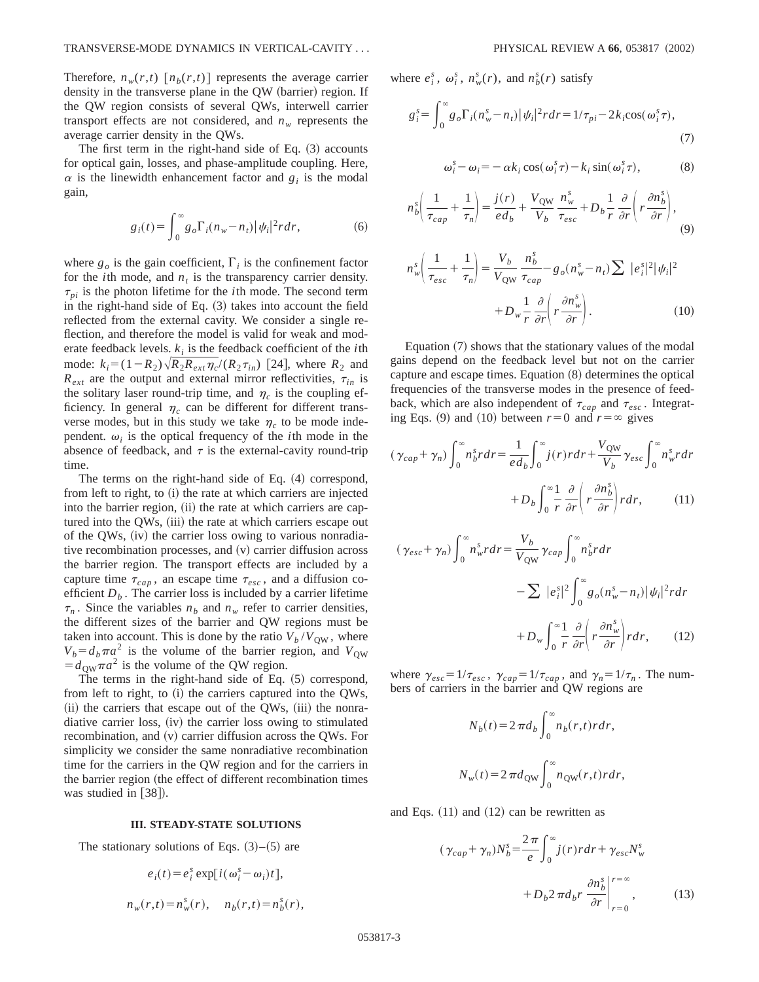Therefore,  $n_w(r,t)$  [ $n_b(r,t)$ ] represents the average carrier density in the transverse plane in the QW (barrier) region. If the QW region consists of several QWs, interwell carrier transport effects are not considered, and  $n_w$  represents the average carrier density in the QWs.

The first term in the right-hand side of Eq.  $(3)$  accounts for optical gain, losses, and phase-amplitude coupling. Here,  $\alpha$  is the linewidth enhancement factor and  $g_i$  is the modal gain,

$$
g_i(t) = \int_0^\infty g_o \Gamma_i(n_w - n_t) |\psi_i|^2 r dr, \tag{6}
$$

where  $g_o$  is the gain coefficient,  $\Gamma_i$  is the confinement factor for the *i*th mode, and  $n_t$  is the transparency carrier density.  $\tau_{pi}$  is the photon lifetime for the *i*th mode. The second term in the right-hand side of Eq.  $(3)$  takes into account the field reflected from the external cavity. We consider a single reflection, and therefore the model is valid for weak and moderate feedback levels.  $k_i$  is the feedback coefficient of the *i*th mode:  $k_i = (1 - R_2) \sqrt{R_2 R_{ext}} \eta_c / (R_2 \tau_{in})$  [24], where  $R_2$  and  $R_{ext}$  are the output and external mirror reflectivities,  $\tau_{in}$  is the solitary laser round-trip time, and  $\eta_c$  is the coupling efficiency. In general  $\eta_c$  can be different for different transverse modes, but in this study we take  $\eta_c$  to be mode independent.  $\omega_i$  is the optical frequency of the *i*th mode in the absence of feedback, and  $\tau$  is the external-cavity round-trip time.

The terms on the right-hand side of Eq.  $(4)$  correspond, from left to right, to (i) the rate at which carriers are injected into the barrier region, (ii) the rate at which carriers are captured into the QWs, (iii) the rate at which carriers escape out of the QWs,  $(iv)$  the carrier loss owing to various nonradiative recombination processes, and  $(v)$  carrier diffusion across the barrier region. The transport effects are included by a capture time  $\tau_{cap}$ , an escape time  $\tau_{esc}$ , and a diffusion coefficient  $D<sub>b</sub>$ . The carrier loss is included by a carrier lifetime  $\tau_n$ . Since the variables  $n_b$  and  $n_w$  refer to carrier densities, the different sizes of the barrier and QW regions must be taken into account. This is done by the ratio  $V_b/V_{\text{OW}}$ , where  $V_b = d_b \pi a^2$  is the volume of the barrier region, and  $V_{\text{OW}}$  $= d_{\text{OW}} \pi a^2$  is the volume of the QW region.

The terms in the right-hand side of Eq.  $(5)$  correspond, from left to right, to  $(i)$  the carriers captured into the QWs,  $(iii)$  the carriers that escape out of the QWs,  $(iii)$  the nonradiative carrier loss,  $(iv)$  the carrier loss owing to stimulated recombination, and (v) carrier diffusion across the QWs. For simplicity we consider the same nonradiative recombination time for the carriers in the QW region and for the carriers in the barrier region (the effect of different recombination times was studied in  $[38]$ .

### **III. STEADY-STATE SOLUTIONS**

The stationary solutions of Eqs.  $(3)$ – $(5)$  are

$$
e_i(t) = e_i^s \exp[i(\omega_i^s - \omega_i)t],
$$
  

$$
n_w(r,t) = n_w^s(r), \quad n_b(r,t) = n_b^s(r),
$$

where  $e_i^s$ ,  $\omega_i^s$ ,  $n_w^s(r)$ , and  $n_b^s(r)$  satisfy

$$
g_i^s = \int_0^\infty g_o \Gamma_i (n_w^s - n_t) |\psi_i|^2 r dr = 1/\tau_{pi} - 2k_i \cos(\omega_i^s \tau),
$$
\n(7)

$$
\omega_i^s - \omega_i = -\alpha k_i \cos(\omega_i^s \tau) - k_i \sin(\omega_i^s \tau), \tag{8}
$$

$$
n_b^s \left( \frac{1}{\tau_{cap}} + \frac{1}{\tau_n} \right) = \frac{j(r)}{ed_b} + \frac{V_{QW}}{V_b} \frac{n_w^s}{\tau_{esc}} + D_b \frac{1}{r} \frac{\partial}{\partial r} \left( r \frac{\partial n_b^s}{\partial r} \right), \tag{9}
$$

$$
n_w^s \left( \frac{1}{\tau_{esc}} + \frac{1}{\tau_n} \right) = \frac{V_b}{V_{\text{QW}}} \frac{n_b^s}{\tau_{cap}} - g_o(n_w^s - n_t) \sum |e_i^s|^2 |\psi_i|^2
$$

$$
+ D_w \frac{1}{r} \frac{\partial}{\partial r} \left( r \frac{\partial n_w^s}{\partial r} \right). \tag{10}
$$

Equation  $(7)$  shows that the stationary values of the modal gains depend on the feedback level but not on the carrier capture and escape times. Equation  $(8)$  determines the optical frequencies of the transverse modes in the presence of feedback, which are also independent of  $\tau_{cap}$  and  $\tau_{esc}$ . Integrating Eqs. (9) and (10) between  $r=0$  and  $r=\infty$  gives

$$
(\gamma_{cap} + \gamma_n) \int_0^\infty n_b^s r dr = \frac{1}{ed_b} \int_0^\infty j(r) r dr + \frac{V_{QW}}{V_b} \gamma_{esc} \int_0^\infty n_w^s r dr
$$

$$
+ D_b \int_0^\infty \frac{1}{r} \frac{\partial}{\partial r} \left( r \frac{\partial n_b^s}{\partial r} \right) r dr, \qquad (11)
$$

$$
(\gamma_{esc} + \gamma_n) \int_0^\infty n_w^s r dr = \frac{V_b}{V_{\text{QW}}} \gamma_{cap} \int_0^\infty n_b^s r dr
$$

$$
- \sum |e_i^s|^2 \int_0^\infty g_o(n_w^s - n_i) |\psi_i|^2 r dr
$$

$$
+ D_w \int_0^\infty \frac{1}{r} \frac{\partial}{\partial r} \left( r \frac{\partial n_w^s}{\partial r} \right) r dr, \qquad (12)
$$

where  $\gamma_{esc} = 1/\tau_{esc}$ ,  $\gamma_{cap} = 1/\tau_{cap}$ , and  $\gamma_n = 1/\tau_n$ . The numbers of carriers in the barrier and QW regions are

$$
N_b(t) = 2 \pi d_b \int_0^\infty n_b(r,t) r dr,
$$
  

$$
N_w(t) = 2 \pi d_{\text{QW}} \int_0^\infty n_{\text{QW}}(r,t) r dr,
$$

and Eqs.  $(11)$  and  $(12)$  can be rewritten as

$$
(\gamma_{cap} + \gamma_n) N_b^s = \frac{2\pi}{e} \int_0^\infty j(r) r dr + \gamma_{esc} N_w^s
$$

$$
+ D_b 2\pi d_b r \left. \frac{\partial n_b^s}{\partial r} \right|_{r=0}^{r=\infty}, \tag{13}
$$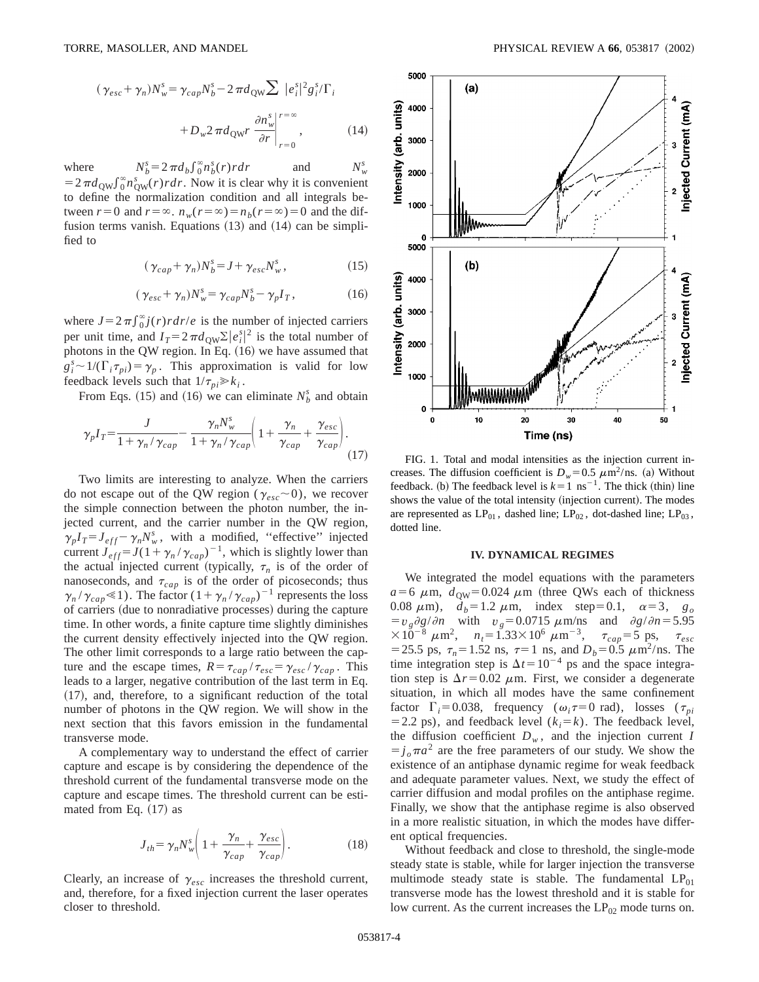$$
(\gamma_{esc} + \gamma_n)N_w^s = \gamma_{cap}N_b^s - 2\pi d_{\text{QW}} \sum |e_i^s|^2 g_i^s / \Gamma_i
$$
  
+ 
$$
D_w 2\pi d_{\text{QW}} r \left. \frac{\partial n_w^s}{\partial r} \right|_{r=0}^{r=\infty}, \tag{14}
$$

where  $S_b = 2 \pi d_b \int_0^\infty n_b^s(r) r dr$  and  $N_w^s$  $N_{\rm u}^{\rm s}$  $=2\pi d_{\text{QW}} \int_{0}^{\infty} n_{\text{QW}}^{s}(r) r dr$ . Now it is clear why it is convenient to define the normalization condition and all integrals between  $r=0$  and  $r=\infty$ .  $n_w(r=\infty)=n_b(r=\infty)=0$  and the diffusion terms vanish. Equations  $(13)$  and  $(14)$  can be simplified to

$$
(\gamma_{cap} + \gamma_n) N_b^s = J + \gamma_{esc} N_w^s, \qquad (15)
$$

$$
(\gamma_{esc} + \gamma_n) N_w^s = \gamma_{cap} N_b^s - \gamma_p I_T, \qquad (16)
$$

where  $J = 2 \pi \int_0^\infty j(r) r dr / e$  is the number of injected carriers per unit time, and  $I_T = 2 \pi d_{\text{QW}} \Sigma |e_i^s|^2$  is the total number of photons in the QW region. In Eq.  $(16)$  we have assumed that  $g_i^s \sim 1/(\Gamma_i \tau_{pi}) = \gamma_p$ . This approximation is valid for low feedback levels such that  $1/\tau_{pi} \gg k_i$ .

From Eqs. (15) and (16) we can eliminate  $N_b^s$  and obtain

$$
\gamma_p I_T = \frac{J}{1 + \gamma_n / \gamma_{cap}} - \frac{\gamma_n N_w^s}{1 + \gamma_n / \gamma_{cap}} \left( 1 + \frac{\gamma_n}{\gamma_{cap}} + \frac{\gamma_{esc}}{\gamma_{cap}} \right). \tag{17}
$$

Two limits are interesting to analyze. When the carriers do not escape out of the QW region ( $\gamma_{esc}$ ~0), we recover the simple connection between the photon number, the injected current, and the carrier number in the QW region,  $\gamma_p I_T = J_{eff} - \gamma_n N_w^s$ , with a modified, "effective" injected current  $J_{eff} = J(1 + \gamma_n / \gamma_{cap})^{-1}$ , which is slightly lower than the actual injected current (typically,  $\tau_n$  is of the order of nanoseconds, and  $\tau_{cap}$  is of the order of picoseconds; thus  $\gamma_n / \gamma_{cap} \leq 1$ ). The factor  $(1 + \gamma_n / \gamma_{cap})^{-1}$  represents the loss of carriers (due to nonradiative processes) during the capture time. In other words, a finite capture time slightly diminishes the current density effectively injected into the QW region. The other limit corresponds to a large ratio between the capture and the escape times,  $R = \tau_{cap}/\tau_{esc} = \gamma_{esc}/\gamma_{cap}$ . This leads to a larger, negative contribution of the last term in Eq.  $(17)$ , and, therefore, to a significant reduction of the total number of photons in the QW region. We will show in the next section that this favors emission in the fundamental transverse mode.

A complementary way to understand the effect of carrier capture and escape is by considering the dependence of the threshold current of the fundamental transverse mode on the capture and escape times. The threshold current can be estimated from Eq.  $(17)$  as

$$
J_{th} = \gamma_n N_w^s \left( 1 + \frac{\gamma_n}{\gamma_{cap}} + \frac{\gamma_{esc}}{\gamma_{cap}} \right). \tag{18}
$$

Clearly, an increase of  $\gamma_{esc}$  increases the threshold current, and, therefore, for a fixed injection current the laser operates closer to threshold.



FIG. 1. Total and modal intensities as the injection current increases. The diffusion coefficient is  $D_w=0.5 \ \mu \text{m}^2/\text{ns}$ . (a) Without feedback. (b) The feedback level is  $k=1$  ns<sup>-1</sup>. The thick (thin) line shows the value of the total intensity (injection current). The modes are represented as  $LP_{01}$ , dashed line;  $LP_{02}$ , dot-dashed line;  $LP_{03}$ , dotted line.

#### **IV. DYNAMICAL REGIMES**

We integrated the model equations with the parameters  $a=6 \mu m$ ,  $d_{\text{OW}}=0.024 \mu m$  (three QWs each of thickness 0.08  $\mu$ m),  $\dot{d}_b = 1.2 \mu$ m, index step=0.1,  $\alpha = 3$ ,  $g_o$  $=v_g \partial g / \partial n$  with  $v_g = 0.0715 \mu \text{m/ns}$  and  $\partial g / \partial n = 5.95$  $\times 10^{-8}$   $\mu$ m<sup>2</sup>,  $n_t = 1.33 \times 10^6$   $\mu$ m<sup>-3</sup>,  $\tau_{cap} = 5$  ps,  $\tau_{esc}$ = 25.5 ps,  $\tau_n = 1.52$  ns,  $\tau = 1$  ns, and  $D_b = 0.5 \ \mu \text{m}^2/\text{ns}$ . The time integration step is  $\Delta t = 10^{-4}$  ps and the space integration step is  $\Delta r$ =0.02  $\mu$ m. First, we consider a degenerate situation, in which all modes have the same confinement factor  $\Gamma_i = 0.038$ , frequency ( $\omega_i \tau = 0$  rad), losses ( $\tau_{pi}$  $=$  2.2 ps), and feedback level ( $k_i = k$ ). The feedback level, the diffusion coefficient  $D_w$ , and the injection current *I*  $j_{\rho} \pi a^2$  are the free parameters of our study. We show the existence of an antiphase dynamic regime for weak feedback and adequate parameter values. Next, we study the effect of carrier diffusion and modal profiles on the antiphase regime. Finally, we show that the antiphase regime is also observed in a more realistic situation, in which the modes have different optical frequencies.

Without feedback and close to threshold, the single-mode steady state is stable, while for larger injection the transverse multimode steady state is stable. The fundamental  $LP_{01}$ transverse mode has the lowest threshold and it is stable for low current. As the current increases the  $LP_{02}$  mode turns on.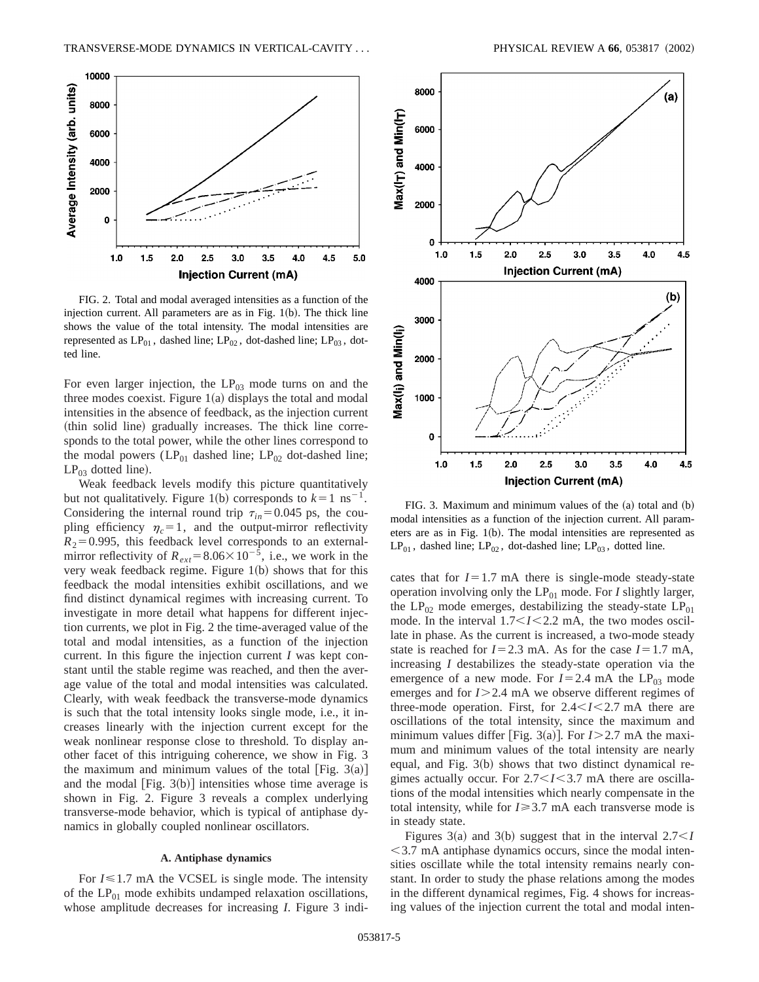

FIG. 2. Total and modal averaged intensities as a function of the injection current. All parameters are as in Fig.  $1(b)$ . The thick line shows the value of the total intensity. The modal intensities are represented as  $LP_{01}$ , dashed line;  $LP_{02}$ , dot-dashed line;  $LP_{03}$ , dotted line.

For even larger injection, the  $LP<sub>03</sub>$  mode turns on and the three modes coexist. Figure  $1(a)$  displays the total and modal intensities in the absence of feedback, as the injection current (thin solid line) gradually increases. The thick line corresponds to the total power, while the other lines correspond to the modal powers ( $LP_{01}$  dashed line;  $LP_{02}$  dot-dashed line;  $LP_{03}$  dotted line).

Weak feedback levels modify this picture quantitatively but not qualitatively. Figure 1(b) corresponds to  $k=1$  ns<sup>-1</sup>. Considering the internal round trip  $\tau_{in}$ =0.045 ps, the coupling efficiency  $\eta_c = 1$ , and the output-mirror reflectivity  $R_2$ =0.995, this feedback level corresponds to an externalmirror reflectivity of  $R_{ext} = 8.06 \times 10^{-5}$ , i.e., we work in the very weak feedback regime. Figure  $1(b)$  shows that for this feedback the modal intensities exhibit oscillations, and we find distinct dynamical regimes with increasing current. To investigate in more detail what happens for different injection currents, we plot in Fig. 2 the time-averaged value of the total and modal intensities, as a function of the injection current. In this figure the injection current *I* was kept constant until the stable regime was reached, and then the average value of the total and modal intensities was calculated. Clearly, with weak feedback the transverse-mode dynamics is such that the total intensity looks single mode, i.e., it increases linearly with the injection current except for the weak nonlinear response close to threshold. To display another facet of this intriguing coherence, we show in Fig. 3 the maximum and minimum values of the total [Fig.  $3(a)$ ] and the modal  $[Fig. 3(b)]$  intensities whose time average is shown in Fig. 2. Figure 3 reveals a complex underlying transverse-mode behavior, which is typical of antiphase dynamics in globally coupled nonlinear oscillators.

# **A. Antiphase dynamics**

For  $I \leq 1.7$  mA the VCSEL is single mode. The intensity of the  $LP_{01}$  mode exhibits undamped relaxation oscillations, whose amplitude decreases for increasing *I*. Figure 3 indi-



FIG. 3. Maximum and minimum values of the  $(a)$  total and  $(b)$ modal intensities as a function of the injection current. All parameters are as in Fig.  $1(b)$ . The modal intensities are represented as  $LP_{01}$ , dashed line;  $LP_{02}$ , dot-dashed line;  $LP_{03}$ , dotted line.

cates that for  $I=1.7$  mA there is single-mode steady-state operation involving only the  $LP_{01}$  mode. For *I* slightly larger, the  $LP_{02}$  mode emerges, destabilizing the steady-state  $LP_{01}$ mode. In the interval  $1.7 < I < 2.2$  mA, the two modes oscillate in phase. As the current is increased, a two-mode steady state is reached for  $I=2.3$  mA. As for the case  $I=1.7$  mA, increasing *I* destabilizes the steady-state operation via the emergence of a new mode. For  $I=2.4$  mA the LP<sub>03</sub> mode emerges and for *I*>2.4 mA we observe different regimes of three-mode operation. First, for  $2.4 < I < 2.7$  mA there are oscillations of the total intensity, since the maximum and minimum values differ [Fig. 3(a)]. For  $I > 2.7$  mA the maximum and minimum values of the total intensity are nearly equal, and Fig.  $3(b)$  shows that two distinct dynamical regimes actually occur. For 2.7 < I < 3.7 mA there are oscillations of the modal intensities which nearly compensate in the total intensity, while for  $I \geq 3.7$  mA each transverse mode is in steady state.

Figures 3(a) and 3(b) suggest that in the interval  $2.7 < I$  $<$  3.7 mA antiphase dynamics occurs, since the modal intensities oscillate while the total intensity remains nearly constant. In order to study the phase relations among the modes in the different dynamical regimes, Fig. 4 shows for increasing values of the injection current the total and modal inten-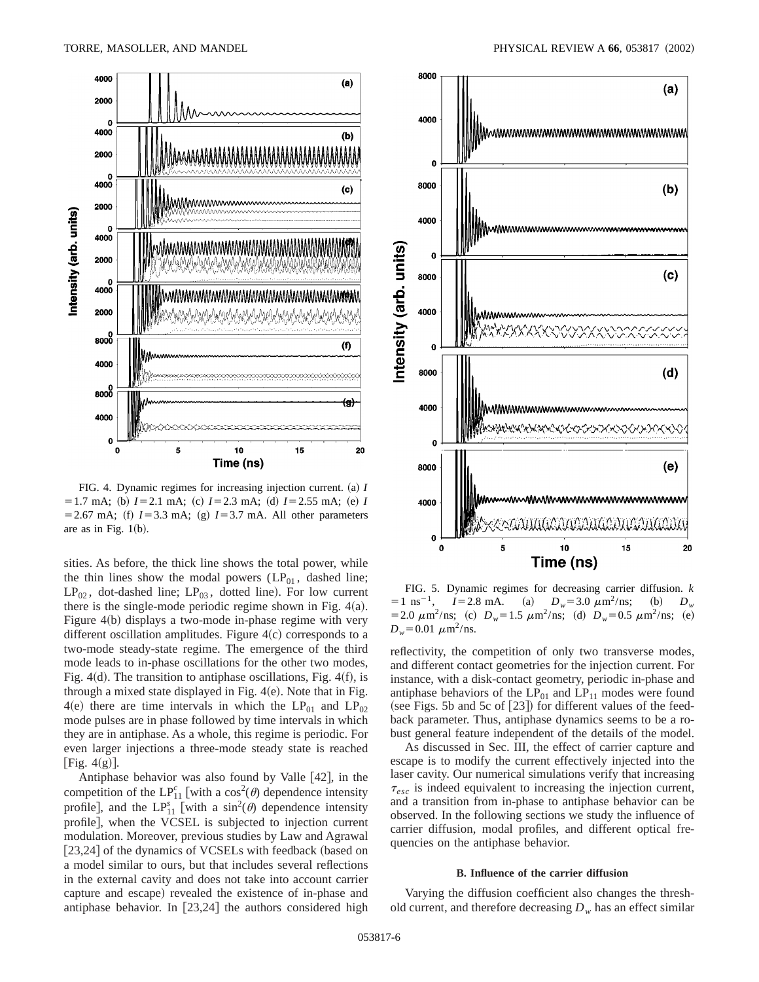

FIG. 4. Dynamic regimes for increasing injection current. (a) *I*  $= 1.7$  mA; (b)  $I = 2.1$  mA; (c)  $I = 2.3$  mA; (d)  $I = 2.55$  mA; (e) *I*  $=$  2.67 mA; (f)  $I=3.3$  mA; (g)  $I=3.7$  mA. All other parameters are as in Fig.  $1(b)$ .

sities. As before, the thick line shows the total power, while the thin lines show the modal powers  $(LP_{01},$  dashed line;  $LP_{02}$ , dot-dashed line;  $LP_{03}$ , dotted line). For low current there is the single-mode periodic regime shown in Fig.  $4(a)$ . Figure  $4(b)$  displays a two-mode in-phase regime with very different oscillation amplitudes. Figure  $4(c)$  corresponds to a two-mode steady-state regime. The emergence of the third mode leads to in-phase oscillations for the other two modes, Fig.  $4(d)$ . The transition to antiphase oscillations, Fig.  $4(f)$ , is through a mixed state displayed in Fig.  $4(e)$ . Note that in Fig.  $4(e)$  there are time intervals in which the LP<sub>01</sub> and LP<sub>02</sub> mode pulses are in phase followed by time intervals in which they are in antiphase. As a whole, this regime is periodic. For even larger injections a three-mode steady state is reached [Fig.  $4(g)$ ].

Antiphase behavior was also found by Valle  $[42]$ , in the competition of the LP<sup>c</sup><sub>11</sub> [with a cos<sup>2</sup>( $\theta$ ) dependence intensity profile], and the  $LP_{11}^s$  [with a  $sin^2(\theta)$  dependence intensity profile], when the VCSEL is subjected to injection current modulation. Moreover, previous studies by Law and Agrawal  $[23,24]$  of the dynamics of VCSELs with feedback (based on a model similar to ours, but that includes several reflections in the external cavity and does not take into account carrier capture and escape) revealed the existence of in-phase and antiphase behavior. In  $[23,24]$  the authors considered high



FIG. 5. Dynamic regimes for decreasing carrier diffusion.  $k = 1 \text{ ns}^{-1}$ ,  $I = 2.8 \text{ mA}$ . (a)  $D_w = 3.0 \mu \text{m}^2/\text{ns}$ ; (b)  $D_w$  $I = 2.8$  mA. (a)  $D_w = 3.0 \ \mu \text{m}^2/\text{ns}$ ; (b)  $D_w$  $=2.0 \ \mu \text{m}^2/\text{ns};$  (c)  $D_w=1.5 \ \mu \text{m}^2/\text{ns};$  (d)  $D_w=0.5 \ \mu \text{m}^2/\text{ns};$  (e)  $D_w$ =0.01  $\mu$ m<sup>2</sup>/ns.

reflectivity, the competition of only two transverse modes, and different contact geometries for the injection current. For instance, with a disk-contact geometry, periodic in-phase and antiphase behaviors of the  $LP_{01}$  and  $LP_{11}$  modes were found (see Figs. 5b and 5c of  $[23]$ ) for different values of the feedback parameter. Thus, antiphase dynamics seems to be a robust general feature independent of the details of the model.

As discussed in Sec. III, the effect of carrier capture and escape is to modify the current effectively injected into the laser cavity. Our numerical simulations verify that increasing  $\tau_{esc}$  is indeed equivalent to increasing the injection current, and a transition from in-phase to antiphase behavior can be observed. In the following sections we study the influence of carrier diffusion, modal profiles, and different optical frequencies on the antiphase behavior.

#### **B. Influence of the carrier diffusion**

Varying the diffusion coefficient also changes the threshold current, and therefore decreasing  $D_w$  has an effect similar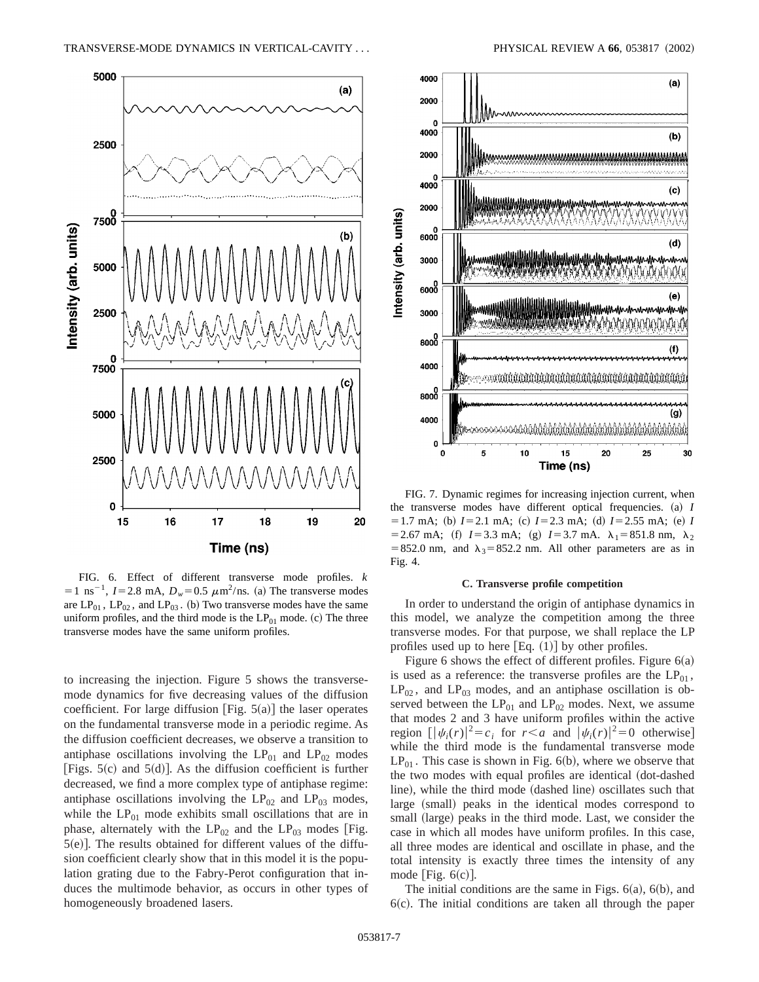

FIG. 6. Effect of different transverse mode profiles. *k*  $=1 \text{ ns}^{-1}$ , *I*=2.8 mA, *D<sub>w</sub>*=0.5  $\mu$ m<sup>2</sup>/ns. (a) The transverse modes are  $LP_{01}$ ,  $LP_{02}$ , and  $LP_{03}$ . (b) Two transverse modes have the same uniform profiles, and the third mode is the  $LP_{01}$  mode. (c) The three transverse modes have the same uniform profiles.

to increasing the injection. Figure 5 shows the transversemode dynamics for five decreasing values of the diffusion coefficient. For large diffusion [Fig.  $5(a)$ ] the laser operates on the fundamental transverse mode in a periodic regime. As the diffusion coefficient decreases, we observe a transition to antiphase oscillations involving the  $LP_{01}$  and  $LP_{02}$  modes [Figs.  $5(c)$  and  $5(d)$ ]. As the diffusion coefficient is further decreased, we find a more complex type of antiphase regime: antiphase oscillations involving the  $LP_{02}$  and  $LP_{03}$  modes, while the  $LP_{01}$  mode exhibits small oscillations that are in phase, alternately with the  $LP_{02}$  and the  $LP_{03}$  modes [Fig.  $5(e)$ ]. The results obtained for different values of the diffusion coefficient clearly show that in this model it is the population grating due to the Fabry-Perot configuration that induces the multimode behavior, as occurs in other types of homogeneously broadened lasers.



FIG. 7. Dynamic regimes for increasing injection current, when the transverse modes have different optical frequencies.  $(a)$  *I*  $= 1.7$  mA; (b)  $I = 2.1$  mA; (c)  $I = 2.3$  mA; (d)  $I = 2.55$  mA; (e) *I*  $=$  2.67 mA; (f)  $I=3.3$  mA; (g)  $I=3.7$  mA.  $\lambda_1=851.8$  nm,  $\lambda_2$ =852.0 nm, and  $\lambda_3$ =852.2 nm. All other parameters are as in Fig. 4.

#### **C. Transverse profile competition**

In order to understand the origin of antiphase dynamics in this model, we analyze the competition among the three transverse modes. For that purpose, we shall replace the LP profiles used up to here  $[Eq. (1)]$  by other profiles.

Figure 6 shows the effect of different profiles. Figure  $6(a)$ is used as a reference: the transverse profiles are the  $LP_{01}$ ,  $LP_{02}$ , and  $LP_{03}$  modes, and an antiphase oscillation is observed between the  $LP_{01}$  and  $LP_{02}$  modes. Next, we assume that modes 2 and 3 have uniform profiles within the active region  $[ |\psi_i(r)|^2 = c_i$  for  $r < a$  and  $|\psi_i(r)|^2 = 0$  otherwise] while the third mode is the fundamental transverse mode  $LP<sub>01</sub>$ . This case is shown in Fig. 6(b), where we observe that the two modes with equal profiles are identical (dot-dashed line), while the third mode (dashed line) oscillates such that large (small) peaks in the identical modes correspond to small (large) peaks in the third mode. Last, we consider the case in which all modes have uniform profiles. In this case, all three modes are identical and oscillate in phase, and the total intensity is exactly three times the intensity of any mode [Fig.  $6(c)$ ].

The initial conditions are the same in Figs.  $6(a)$ ,  $6(b)$ , and  $6(c)$ . The initial conditions are taken all through the paper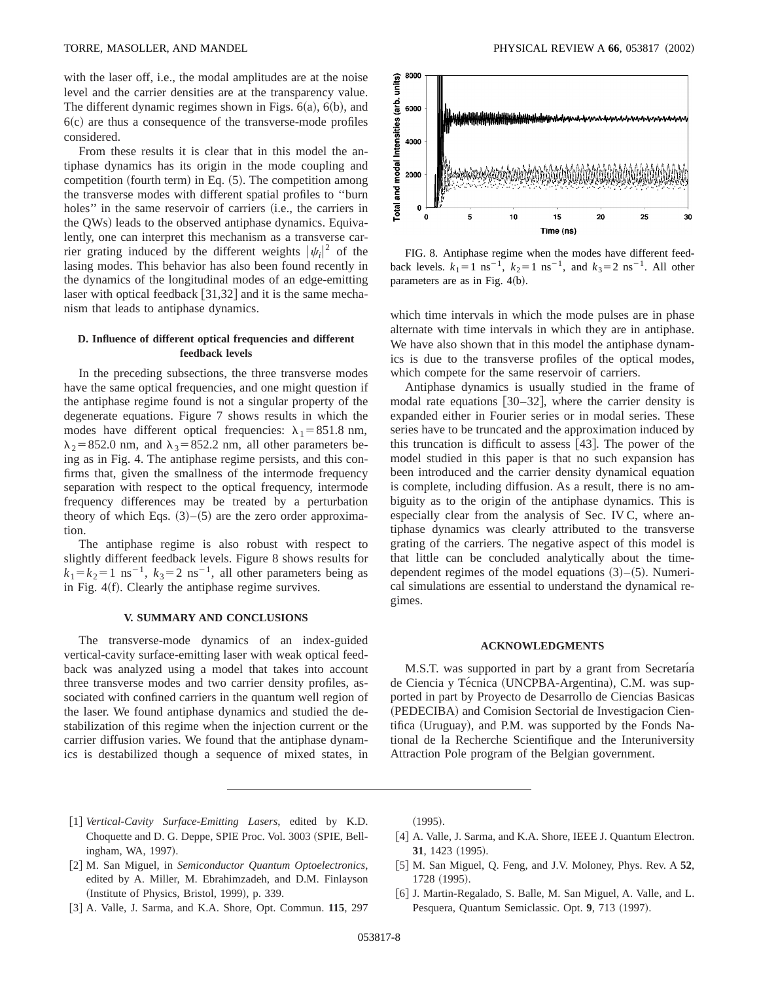with the laser off, i.e., the modal amplitudes are at the noise level and the carrier densities are at the transparency value. The different dynamic regimes shown in Figs.  $6(a)$ ,  $6(b)$ , and  $6(c)$  are thus a consequence of the transverse-mode profiles considered.

From these results it is clear that in this model the antiphase dynamics has its origin in the mode coupling and competition (fourth term) in Eq.  $(5)$ . The competition among the transverse modes with different spatial profiles to ''burn holes" in the same reservoir of carriers  $(i.e., the carriers in$ the QWs) leads to the observed antiphase dynamics. Equivalently, one can interpret this mechanism as a transverse carrier grating induced by the different weights  $|\psi_i|^2$  of the lasing modes. This behavior has also been found recently in the dynamics of the longitudinal modes of an edge-emitting laser with optical feedback  $\lceil 31,32 \rceil$  and it is the same mechanism that leads to antiphase dynamics.

## **D. Influence of different optical frequencies and different feedback levels**

In the preceding subsections, the three transverse modes have the same optical frequencies, and one might question if the antiphase regime found is not a singular property of the degenerate equations. Figure 7 shows results in which the modes have different optical frequencies:  $\lambda_1 = 851.8$  nm,  $\lambda_2$ =852.0 nm, and  $\lambda_3$ =852.2 nm, all other parameters being as in Fig. 4. The antiphase regime persists, and this confirms that, given the smallness of the intermode frequency separation with respect to the optical frequency, intermode frequency differences may be treated by a perturbation theory of which Eqs.  $(3)$ – $(5)$  are the zero order approximation.

The antiphase regime is also robust with respect to slightly different feedback levels. Figure 8 shows results for  $k_1 = k_2 = 1$  ns<sup>-1</sup>,  $k_3 = 2$  ns<sup>-1</sup>, all other parameters being as in Fig.  $4(f)$ . Clearly the antiphase regime survives.

#### **V. SUMMARY AND CONCLUSIONS**

The transverse-mode dynamics of an index-guided vertical-cavity surface-emitting laser with weak optical feedback was analyzed using a model that takes into account three transverse modes and two carrier density profiles, associated with confined carriers in the quantum well region of the laser. We found antiphase dynamics and studied the destabilization of this regime when the injection current or the carrier diffusion varies. We found that the antiphase dynamics is destabilized though a sequence of mixed states, in



FIG. 8. Antiphase regime when the modes have different feedback levels.  $k_1 = 1 \text{ ns}^{-1}$ ,  $k_2 = 1 \text{ ns}^{-1}$ , and  $k_3 = 2 \text{ ns}^{-1}$ . All other parameters are as in Fig.  $4(b)$ .

which time intervals in which the mode pulses are in phase alternate with time intervals in which they are in antiphase. We have also shown that in this model the antiphase dynamics is due to the transverse profiles of the optical modes, which compete for the same reservoir of carriers.

Antiphase dynamics is usually studied in the frame of modal rate equations  $[30-32]$ , where the carrier density is expanded either in Fourier series or in modal series. These series have to be truncated and the approximation induced by this truncation is difficult to assess  $[43]$ . The power of the model studied in this paper is that no such expansion has been introduced and the carrier density dynamical equation is complete, including diffusion. As a result, there is no ambiguity as to the origin of the antiphase dynamics. This is especially clear from the analysis of Sec. IV C, where antiphase dynamics was clearly attributed to the transverse grating of the carriers. The negative aspect of this model is that little can be concluded analytically about the timedependent regimes of the model equations  $(3)$ – $(5)$ . Numerical simulations are essential to understand the dynamical regimes.

### **ACKNOWLEDGMENTS**

M.S.T. was supported in part by a grant from Secretaría de Ciencia y Técnica (UNCPBA-Argentina), C.M. was supported in part by Proyecto de Desarrollo de Ciencias Basicas (PEDECIBA) and Comision Sectorial de Investigacion Cientifica (Uruguay), and P.M. was supported by the Fonds National de la Recherche Scientifique and the Interuniversity Attraction Pole program of the Belgian government.

- [1] Vertical-Cavity Surface-Emitting Lasers, edited by K.D. Choquette and D. G. Deppe, SPIE Proc. Vol. 3003 (SPIE, Bellingham, WA, 1997).
- [2] M. San Miguel, in *Semiconductor Quantum Optoelectronics*, edited by A. Miller, M. Ebrahimzadeh, and D.M. Finlayson (Institute of Physics, Bristol, 1999), p. 339.
- [3] A. Valle, J. Sarma, and K.A. Shore, Opt. Commun. **115**, 297

 $(1995).$ 

- [4] A. Valle, J. Sarma, and K.A. Shore, IEEE J. Quantum Electron. **31**, 1423 (1995).
- [5] M. San Miguel, Q. Feng, and J.V. Moloney, Phys. Rev. A 52, 1728 (1995).
- [6] J. Martin-Regalado, S. Balle, M. San Miguel, A. Valle, and L. Pesquera, Quantum Semiclassic. Opt. 9, 713 (1997).